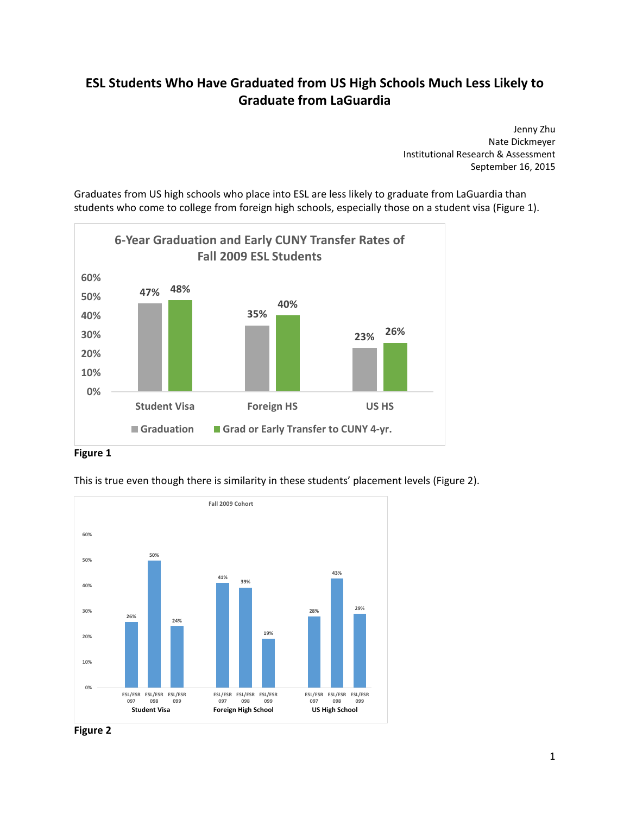## **ESL Students Who Have Graduated from US High Schools Much Less Likely to Graduate from LaGuardia**

Jenny Zhu Nate Dickmeyer Institutional Research & Assessment September 16, 2015

Graduates from US high schools who place into ESL are less likely to graduate from LaGuardia than students who come to college from foreign high schools, especially those on a student visa (Figure 1).





This is true even though there is similarity in these students' placement levels (Figure 2).



 **Figure 2**